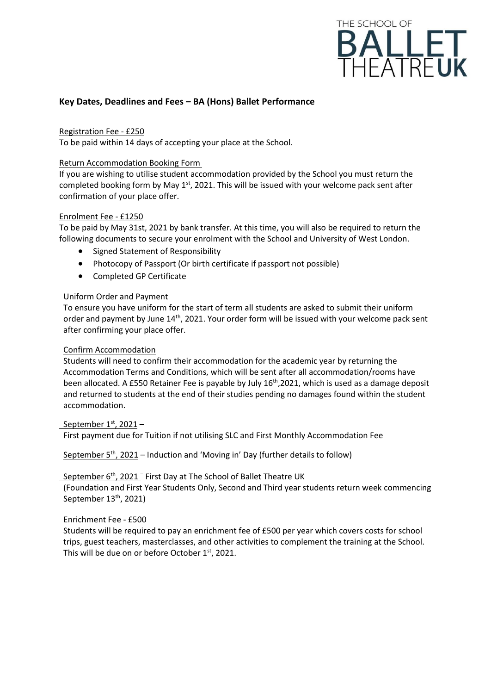

# **Key Dates, Deadlines and Fees – BA (Hons) Ballet Performance**

# Registration Fee - £250

To be paid within 14 days of accepting your place at the School.

## Return Accommodation Booking Form

If you are wishing to utilise student accommodation provided by the School you must return the completed booking form by May 1<sup>st</sup>, 2021. This will be issued with your welcome pack sent after confirmation of your place offer.

#### Enrolment Fee - £1250

To be paid by May 31st, 2021 by bank transfer. At this time, you will also be required to return the following documents to secure your enrolment with the School and University of West London.

- Signed Statement of Responsibility
- Photocopy of Passport (Or birth certificate if passport not possible)
- Completed GP Certificate

# Uniform Order and Payment

To ensure you have uniform for the start of term all students are asked to submit their uniform order and payment by June 14<sup>th</sup>, 2021. Your order form will be issued with your welcome pack sent after confirming your place offer.

#### Confirm Accommodation

Students will need to confirm their accommodation for the academic year by returning the Accommodation Terms and Conditions, which will be sent after all accommodation/rooms have been allocated. A £550 Retainer Fee is payable by July 16<sup>th</sup>,2021, which is used as a damage deposit and returned to students at the end of their studies pending no damages found within the student accommodation.

# <u>September 1<sup>st</sup>, 2021</u> –

First payment due for Tuition if not utilising SLC and First Monthly Accommodation Fee

September 5<sup>th</sup>, 2021 – Induction and 'Moving in' Day (further details to follow)

# September 6<sup>th</sup>, 2021<sup>-</sup> First Day at The School of Ballet Theatre UK

(Foundation and First Year Students Only, Second and Third year students return week commencing September 13<sup>th</sup>, 2021)

#### Enrichment Fee - £500

Students will be required to pay an enrichment fee of £500 per year which covers costs for school trips, guest teachers, masterclasses, and other activities to complement the training at the School. This will be due on or before October  $1<sup>st</sup>$ , 2021.